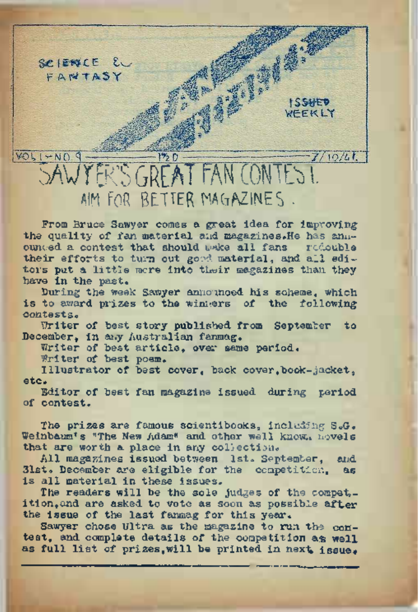

From Bruce Sawyer comes a great idea for improving the quality of fan material and magazines. He has annredouble ounced a contest that should wake all fans their efforts to turn out good material, and all editors put a little mere into their magazines than they have in the past.

During the week Samyer announced his scheme, which is to award prizes to the winners of the following contests.

Writer of best story published from September to December. in any Australian fanmag.

Writer of best article, over same period.

Writer of best poem.

Illustrator of best cover, back cover, book-jacket, etc.

Editor of best fan magazine issued during period of contest.

The prizes are famous scientibooks, including S.G. Weinbaum's "The New Adam" and other well knew, hovels that are worth a place in any collection.

All magazines issued between lst. September, and. 31st. December are eligible for the competition. 86 is all material in these issues.

The readers will be the sole judges of the compet. ition, and are asked to vote as soon as possible after the issue of the last fannag for this year.

Sawyer chose Ultra as the magazine to run the contest, and complete details of the competition as well as full list of prizes, will be printed in next issue.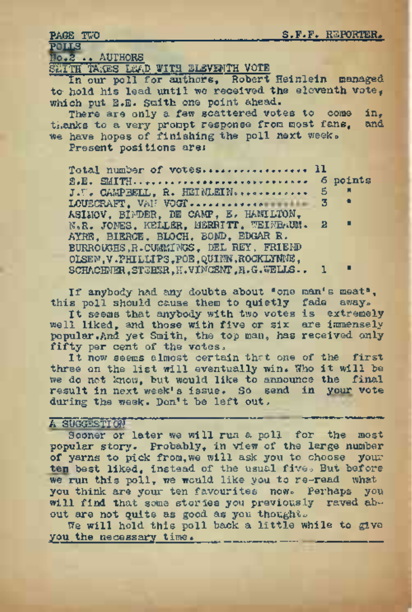# PAGE TWO<br>POLLS<br>No.2 .. AUTHORS

SIGITH TAKES LEAD WITH ELEVENTH VOTE

In our poll for authors, Robert Heinlein managed to- hold his lead until we received the eleventh vote, which put B.B. Smith one point ahead.

There are only a few scattered votes to come in,<br>whe to a very proppt response from most fans. And thanks to a very prompt response from most fans, we have hopes of finishing the poll next week.

Present positions are:

Total number of votes...................... <sup>11</sup> THE TRACES LEVEN MITH MILITER WOTER Heinlein management of the side of the side of the side of the side of the side of the solid of the solid of the solid of the solid of the solid of the solid of the solid of the solid of J.T. CAMPBELL, R. HEINLEIN-........... <sup>5</sup> " ASIMOV, BINDER, DE CAMP, E. HAMILTON, N«R. JONES, KELLER, MERRITT, UEINBAUM. 2 " AYRE, BIERCE, BLOCH, BOND, EDGAR R. BURROUGHS,R.CUMMINGS, DEL REY, FRIEND OLSEN,V .PHILLIPS ,POE, QUINN .ROCKLYNNE, SCHACHNER, STEBER, H.VINCENT, H.G.WELLS.. 1

If anybody had any doubts about "one man's meat", this poll should cause them to quietly fade away.

It seems that anybody with two votes is extremely well liked, and those with five or six are immensely popular.And yet Smith, the top man, has received only fifty per cent of the votes.

It now seems almost certain that one of the first three on the list will eventually win. Who it will be we do not know, but would like to announce the final result in next week's issue. So send in your vote during the week. Don't be left out.

## A SUGGESTION

Sooner or later we will run a poll for the most popular story, Probably, in view of the large number of yarns to pick from,we will ask you to choose your ten best liked, instead of the usual five. But before we run this poll, we would like you to re-read what you think are your ten favourites now. Perhaps you will find that some stories you previously raved about are not quite as good as you thoughts

We will hold this poll back a little while to give you the necessary time.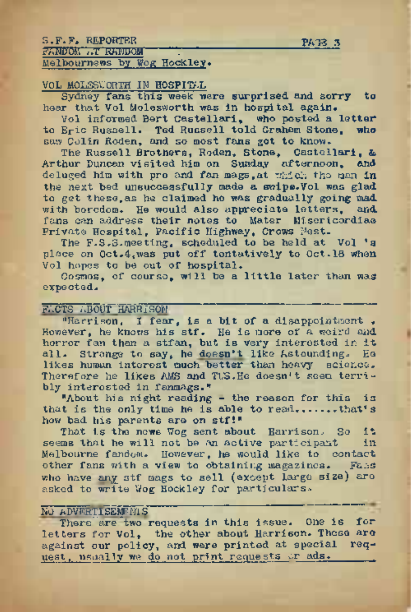| S.F.F. REPORTER             | PATS 3 |
|-----------------------------|--------|
| <b>FANDOM AT REFUDOM</b>    |        |
| Melbourness by Wog Hockley. |        |

#### VOL MOLESWORTH IN HOSPITAL

Sydney fans this week were surprised and sorry to hear that Vol Molegworth was in hospital again.

Vol informed Bert Castellari, who posted a letter<br>Eric Russell, Ted Russell told Grahem Stone, who to Eric Russell. Ted Russell told Graham Stone, saw Colin Roden, and so most fans got to know.

The Russell Brothers, Roden, Stone, Castellari, & Arthur Buncan visited him on Sunday afternoon, and deluged him with pro and fan mags,at which the man in the next bed unsuccessfully made a swipe.Vol was glad to get these,as he claimed he was gradually going mad with boredom. He would also appreciate letters, and fans can address their notes to Mater Misericordiaa Private Hospital, Pacific Highway, Crows Nest.

The F.S.S. meeting, scheduled to be held at Vol 's place on 0ct.4,was put off tentatively to Oct.18 when Vol hopes to be out of hospital.

Cosmos, of course, will be a little later than wag expected.

#### FACTS ABOUT HARRISON

'•Harrison, I fear, is a bit of a disappointment . However, he knows his stf. He is more of a weird and horror fan than <sup>a</sup> stfan, but is very interested in it all. Strange to say, he doesn't like Astounding. Eq likes human interest much better than heavy science. Therefore he likes AMS and TUS.He doesn't seem terribly interested in fanmags."

"About his night reading - the reason for this is that is the only time he is able to read.......that's how bad his parents are on stf!"

That is the news Wog sent about Harrison. So it<br>ms that he will not be an active participant in seems that he will not be an active participant Melbourne fandom. However, he would like to contact other fans with a view to obtaining magazines. Fans who have any stf mags to sell (except large size) are asked to write Wog Hockley for particulars.

### NO ADVERTISEMTS

There are two requests in this issue. One is for letters for Vol, the other about Harrison. These are against our policy, and were printed at special request, usually we do not print requests or ads.